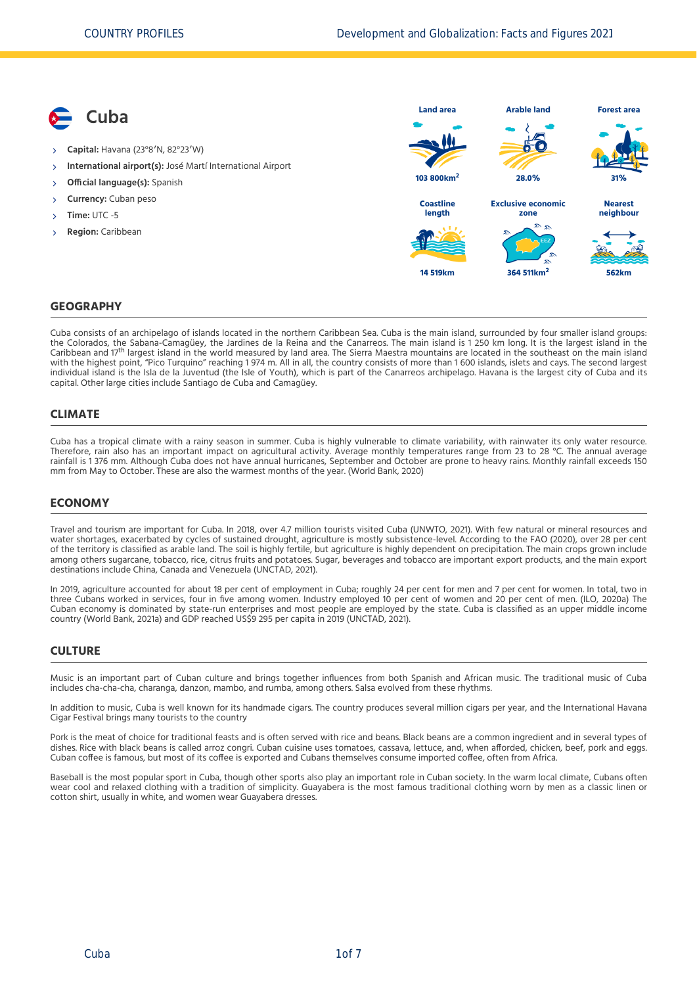**Cuba Capital:** Havana (23°8′N, 82°23′W) **International airport(s):** José Martí International Airport **Official language(s):** Spanish **Currency:** Cuban peso **Time:** UTC -5 **Region:** Caribbean **Land area 103 800km<sup>2</sup> Arable land 28.0% Forest area 31% Coastline length 14 519km Exclusive economic zone 364 511km<sup>2</sup> Nearest neighbour 562km**

#### **GEOGRAPHY**

Cuba consists of an archipelago of islands located in the northern Caribbean Sea. Cuba is the main island, surrounded by four smaller island groups: the Colorados, the Sabana-Camagüey, the Jardines de la Reina and the Canarreos. The main island is 1 250 km long. It is the largest island in the<br>Caribbean and 17th largest island in the world measured by land area. The Si with the highest point, "Pico Turquino" reaching 1 974 m. All in all, the country consists of more than 1 600 islands, islets and cays. The second largest individual island is the Isla de la Juventud (the Isle of Youth), which is part of the Canarreos archipelago. Havana is the largest city of Cuba and its capital. Other large cities include Santiago de Cuba and Camagüey.

#### **CLIMATE**

Cuba has a tropical climate with a rainy season in summer. Cuba is highly vulnerable to climate variability, with rainwater its only water resource. Therefore, rain also has an important impact on agricultural activity. Average monthly temperatures range from 23 to 28 °C. The annual average rainfall is 1 376 mm. Although Cuba does not have annual hurricanes, September and October are prone to heavy rains. Monthly rainfall exceeds 150 mm from May to October. These are also the warmest months of the year. [\(World Bank, 2020\)](#page-6-0)

#### **ECONOMY**

Travel and tourism are important for Cuba. In 2018, over 4.7 million tourists visited Cuba [\(UNWTO, 2021\)](#page-6-1). With few natural or mineral resources and water shortages, exacerbated by cycles of sustained drought, agriculture is mostly subsistence-level. According to the FAO [\(2020\)](#page-6-2), over 28 per cent of the territory is classified as arable land. The soil is highly fertile, but agriculture is highly dependent on precipitation. The main crops grown include among others sugarcane, tobacco, rice, citrus fruits and potatoes. Sugar, beverages and tobacco are important export products, and the main export destinations include China, Canada and Venezuela [\(UNCTAD, 2021\).](#page-6-3)

In 2019, agriculture accounted for about 18 per cent of employment in Cuba; roughly 24 per cent for men and 7 per cent for women. In total, two in three Cubans worked in services, four in five among women. Industry employed 10 per cent of women and 20 per cent of men. [\(ILO, 2020a\)](#page-6-4) The Cuban economy is dominated by state-run enterprises and most people are employed by the state. Cuba is classified as an upper middle income country [\(World Bank, 2021a\)](#page-6-5) and GDP reached US\$9 295 per capita in 2019 [\(UNCTAD, 2021\)](#page-6-3).

#### **CULTURE**

Music is an important part of Cuban culture and brings together influences from both Spanish and African music. The traditional music of Cuba includes cha-cha-cha, charanga, danzon, mambo, and rumba, among others. Salsa evolved from these rhythms.

In addition to music, Cuba is well known for its handmade cigars. The country produces several million cigars per year, and the International Havana Cigar Festival brings many tourists to the country

Pork is the meat of choice for traditional feasts and is often served with rice and beans. Black beans are a common ingredient and in several types of dishes. Rice with black beans is called arroz congri. Cuban cuisine uses tomatoes, cassava, lettuce, and, when afforded, chicken, beef, pork and eggs. Cuban coffee is famous, but most of its coffee is exported and Cubans themselves consume imported coffee, often from Africa.

Baseball is the most popular sport in Cuba, though other sports also play an important role in Cuban society. In the warm local climate, Cubans often wear cool and relaxed clothing with a tradition of simplicity. Guayabera is the most famous traditional clothing worn by men as a classic linen or cotton shirt, usually in white, and women wear Guayabera dresses.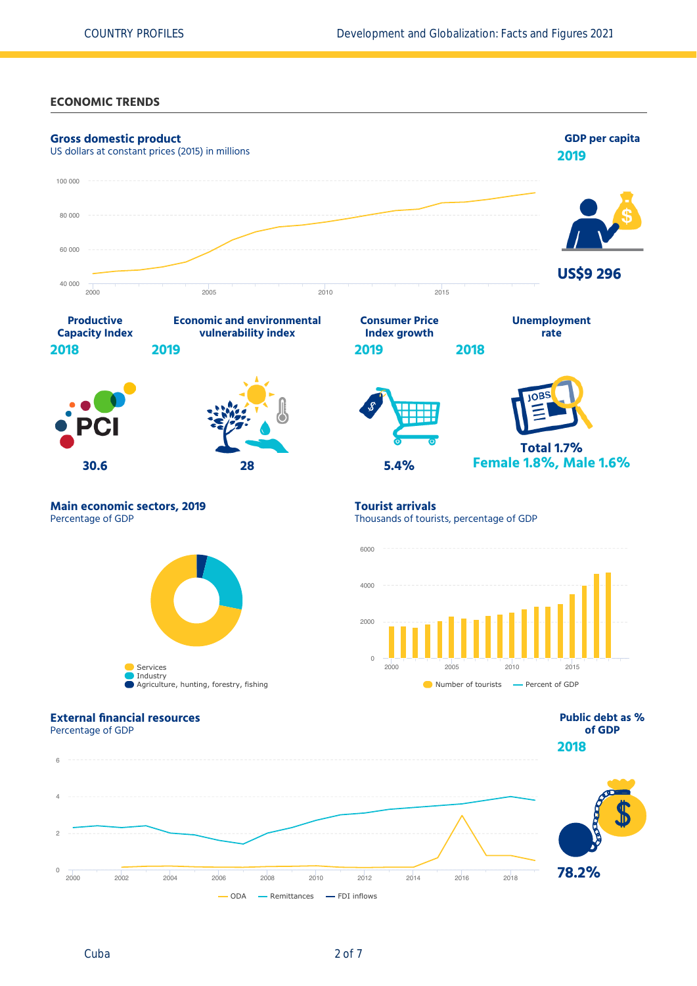#### **ECONOMIC TRENDS**

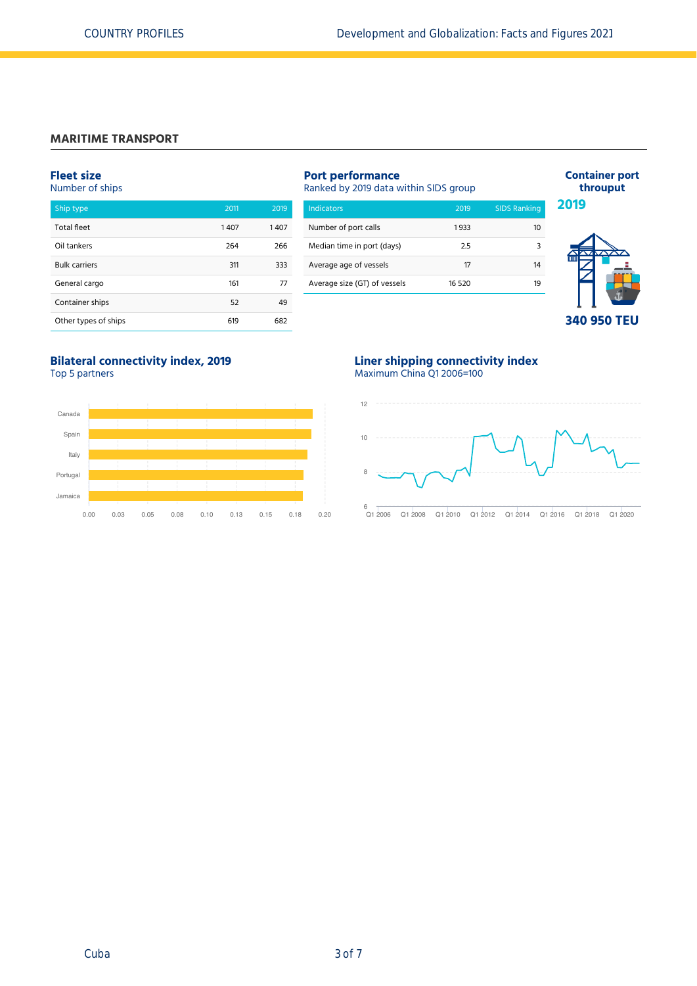## **MARITIME TRANSPORT**

## **Fleet size**

Number of ships

| Ship type            | 2011 | 2019 |
|----------------------|------|------|
| <b>Total fleet</b>   | 1407 | 1407 |
| Oil tankers          | 264  | 266  |
| <b>Bulk carriers</b> | 311  | 333  |
| General cargo        | 161  | 77   |
| Container ships      | 52   | 49   |
| Other types of ships | 619  | 682  |

| <b>Port performance</b><br>Ranked by 2019 data within SIDS group |        |                     |  |  |  |  |
|------------------------------------------------------------------|--------|---------------------|--|--|--|--|
| <b>Indicators</b>                                                | 2019   | <b>SIDS Ranking</b> |  |  |  |  |
| Number of port calls                                             | 1933   | 10                  |  |  |  |  |
| Median time in port (days)                                       | 2.5    | ς                   |  |  |  |  |
| Average age of vessels                                           | 17     | 14                  |  |  |  |  |
| Average size (GT) of vessels                                     | 16 520 | 19                  |  |  |  |  |
|                                                                  |        |                     |  |  |  |  |



**Container port throuput**

## **Bilateral connectivity index, 2019** Top 5 partners



### **Liner shipping connectivity index** Maximum China Q1 2006=100

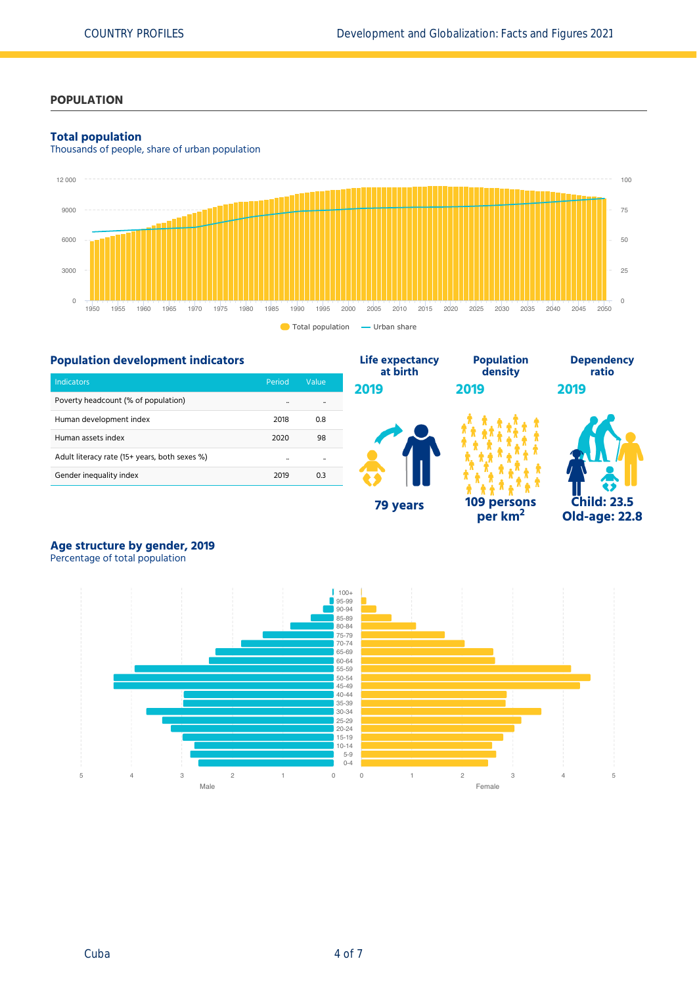# **POPULATION**

#### **Total population**

Thousands of people, share of urban population



**Life expectancy**

## **Population development indicators**

| <b>Indicators</b>                             | Period               | Value |
|-----------------------------------------------|----------------------|-------|
| Poverty headcount (% of population)           | $\ddot{\phantom{a}}$ |       |
| Human development index                       | 2018                 | 0.8   |
| Human assets index                            | 2020                 | 98    |
| Adult literacy rate (15+ years, both sexes %) | $\ddot{\phantom{a}}$ |       |
| Gender inequality index                       | 2019                 | 0.3   |



**Population**

**per km<sup>2</sup>**



**Dependency**

# **Age structure by gender, 2019**

Percentage of total population

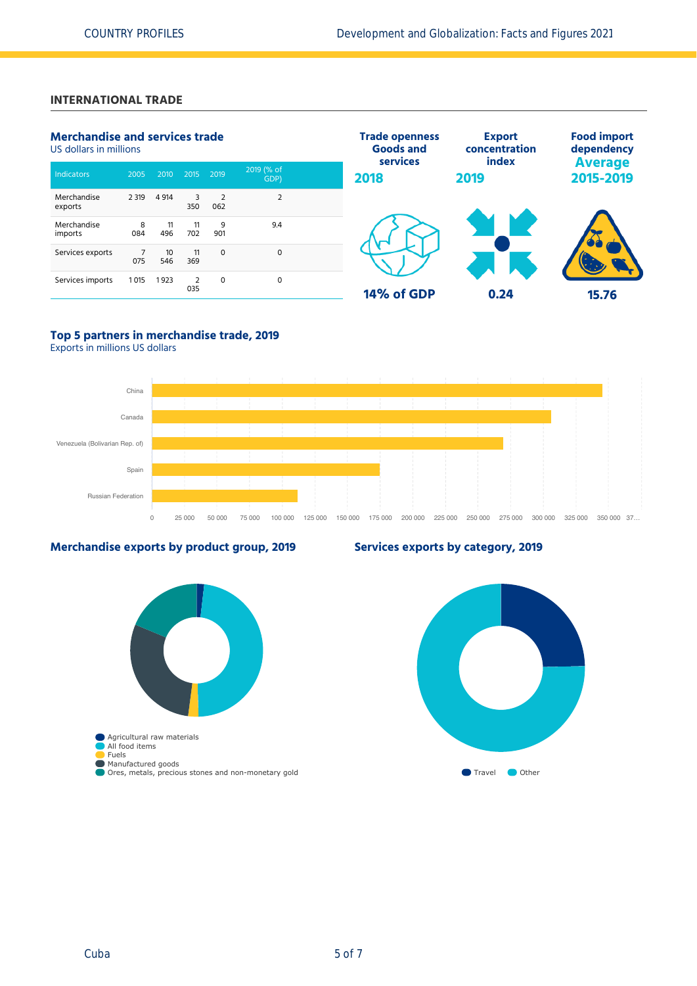# **INTERNATIONAL TRADE**

| <b>Merchandise and services trade</b><br>US dollars in millions |          |           | <b>Trade openness</b><br><b>Goods and</b><br>services | <b>Export</b><br>concentration<br>index | <b>Food import</b><br>dependency |            |      |                             |
|-----------------------------------------------------------------|----------|-----------|-------------------------------------------------------|-----------------------------------------|----------------------------------|------------|------|-----------------------------|
| Indicators                                                      | 2005     | 2010      | 2015                                                  | 2019                                    | 2019 (% of<br>GDP)               | 2018       | 2019 | <b>Average</b><br>2015-2019 |
| Merchandise<br>exports                                          | 2 3 1 9  | 4 9 14    | 3<br>350                                              | 2<br>062                                | $\overline{2}$                   |            |      |                             |
| Merchandise<br>imports                                          | 8<br>084 | 11<br>496 | 11<br>702                                             | 9<br>901                                | 9.4                              |            |      |                             |
| Services exports                                                | 075      | 10<br>546 | 11<br>369                                             | $\Omega$                                | $\mathbf 0$                      |            |      |                             |
| Services imports                                                | 1015     | 1923      | $\overline{2}$<br>035                                 | $\mathbf 0$                             | 0                                | 14% of GDP | 0.24 | 15.76                       |

# **Top 5 partners in merchandise trade, 2019**

Exports in millions US dollars



### **Merchandise exports by product group, 2019**



# **Services exports by category, 2019**

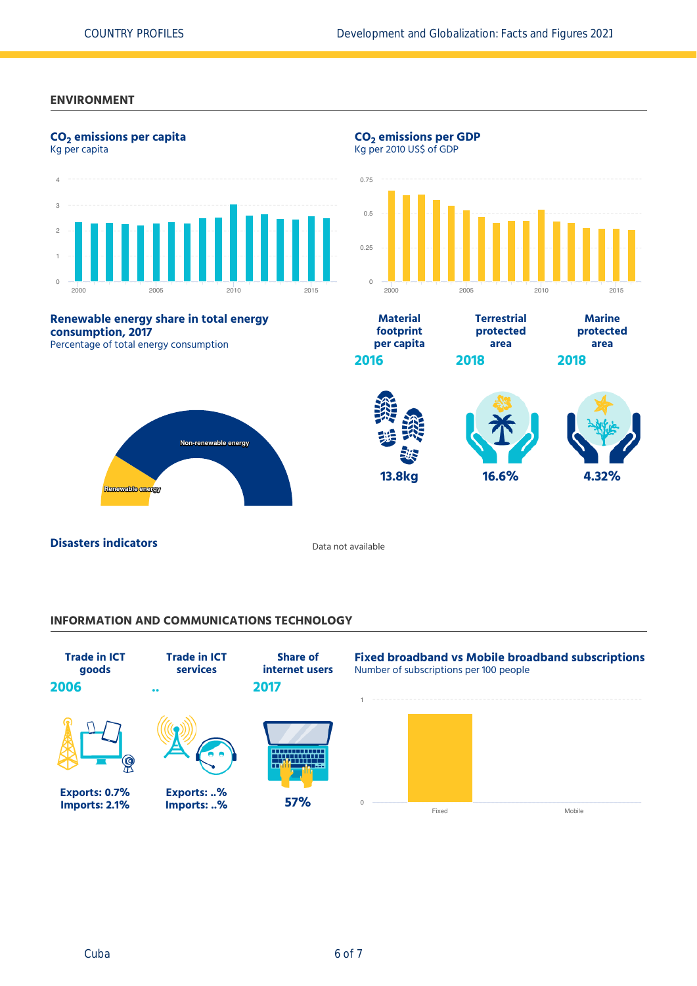#### **ENVIRONMENT**



#### **INFORMATION AND COMMUNICATIONS TECHNOLOGY**